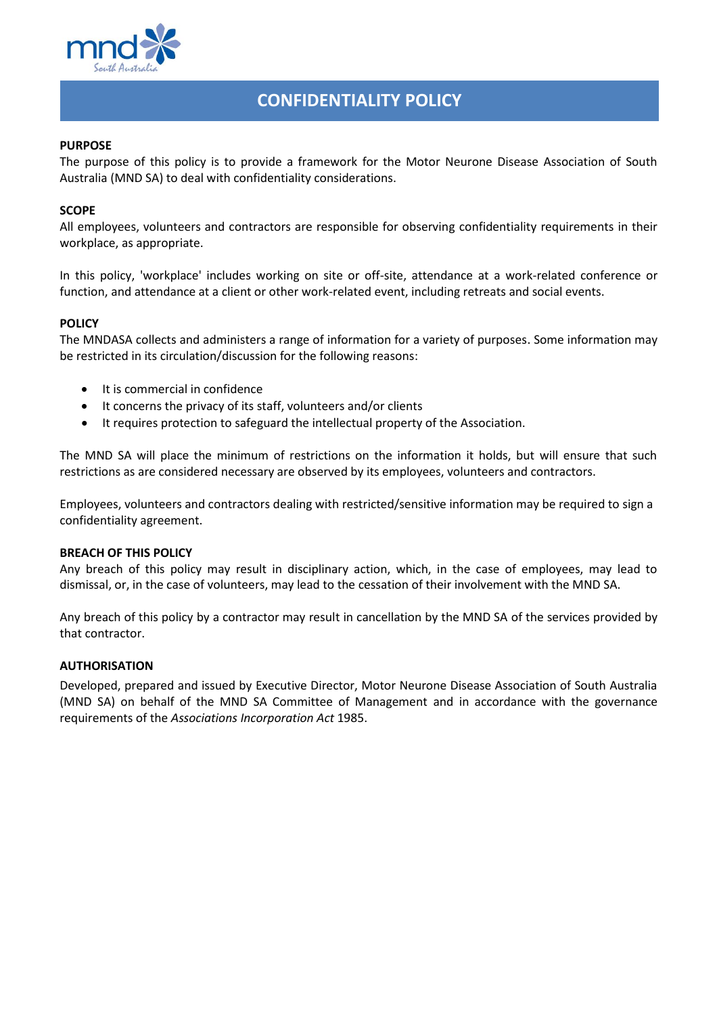

# **CONFIDENTIALITY POLICY**

## **PURPOSE**

The purpose of this policy is to provide a framework for the Motor Neurone Disease Association of South Australia (MND SA) to deal with confidentiality considerations.

## **SCOPE**

All employees, volunteers and contractors are responsible for observing confidentiality requirements in their workplace, as appropriate.

In this policy, 'workplace' includes working on site or off-site, attendance at a work-related conference or function, and attendance at a client or other work-related event, including retreats and social events.

### **POLICY**

The MNDASA collects and administers a range of information for a variety of purposes. Some information may be restricted in its circulation/discussion for the following reasons:

- It is commercial in confidence
- It concerns the privacy of its staff, volunteers and/or clients
- It requires protection to safeguard the intellectual property of the Association.

The MND SA will place the minimum of restrictions on the information it holds, but will ensure that such restrictions as are considered necessary are observed by its employees, volunteers and contractors.

Employees, volunteers and contractors dealing with restricted/sensitive information may be required to sign a confidentiality agreement.

#### **BREACH OF THIS POLICY**

Any breach of this policy may result in disciplinary action, which, in the case of employees, may lead to dismissal, or, in the case of volunteers, may lead to the cessation of their involvement with the MND SA.

Any breach of this policy by a contractor may result in cancellation by the MND SA of the services provided by that contractor.

#### **AUTHORISATION**

Developed, prepared and issued by Executive Director, Motor Neurone Disease Association of South Australia (MND SA) on behalf of the MND SA Committee of Management and in accordance with the governance requirements of the *Associations Incorporation Act* 1985.